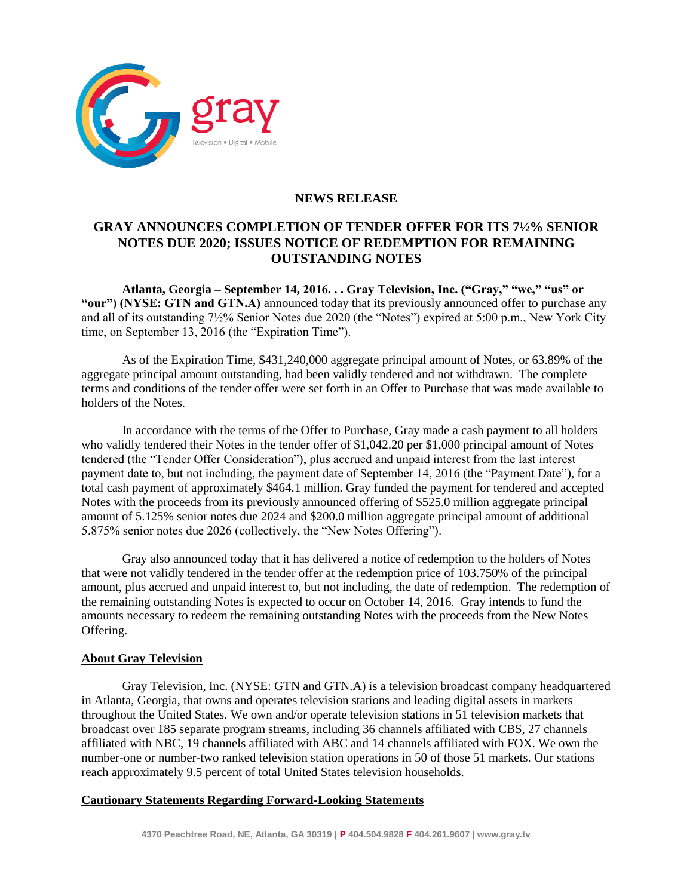

## **NEWS RELEASE**

# **GRAY ANNOUNCES COMPLETION OF TENDER OFFER FOR ITS 7½% SENIOR NOTES DUE 2020; ISSUES NOTICE OF REDEMPTION FOR REMAINING OUTSTANDING NOTES**

**Atlanta, Georgia – September 14, 2016. . . Gray Television, Inc. ("Gray," "we," "us" or "our") (NYSE: GTN and GTN.A)** announced today that its previously announced offer to purchase any and all of its outstanding 7½% Senior Notes due 2020 (the "Notes") expired at 5:00 p.m., New York City time, on September 13, 2016 (the "Expiration Time").

As of the Expiration Time, \$431,240,000 aggregate principal amount of Notes, or 63.89% of the aggregate principal amount outstanding, had been validly tendered and not withdrawn. The complete terms and conditions of the tender offer were set forth in an Offer to Purchase that was made available to holders of the Notes.

In accordance with the terms of the Offer to Purchase, Gray made a cash payment to all holders who validly tendered their Notes in the tender offer of \$1,042.20 per \$1,000 principal amount of Notes tendered (the "Tender Offer Consideration"), plus accrued and unpaid interest from the last interest payment date to, but not including, the payment date of September 14, 2016 (the "Payment Date"), for a total cash payment of approximately \$464.1 million. Gray funded the payment for tendered and accepted Notes with the proceeds from its previously announced offering of \$525.0 million aggregate principal amount of 5.125% senior notes due 2024 and \$200.0 million aggregate principal amount of additional 5.875% senior notes due 2026 (collectively, the "New Notes Offering").

Gray also announced today that it has delivered a notice of redemption to the holders of Notes that were not validly tendered in the tender offer at the redemption price of 103.750% of the principal amount, plus accrued and unpaid interest to, but not including, the date of redemption. The redemption of the remaining outstanding Notes is expected to occur on October 14, 2016. Gray intends to fund the amounts necessary to redeem the remaining outstanding Notes with the proceeds from the New Notes Offering.

### **About Gray Television**

Gray Television, Inc. (NYSE: GTN and GTN.A) is a television broadcast company headquartered in Atlanta, Georgia, that owns and operates television stations and leading digital assets in markets throughout the United States. We own and/or operate television stations in 51 television markets that broadcast over 185 separate program streams, including 36 channels affiliated with CBS, 27 channels affiliated with NBC, 19 channels affiliated with ABC and 14 channels affiliated with FOX. We own the number-one or number-two ranked television station operations in 50 of those 51 markets. Our stations reach approximately 9.5 percent of total United States television households.

### **Cautionary Statements Regarding Forward-Looking Statements**